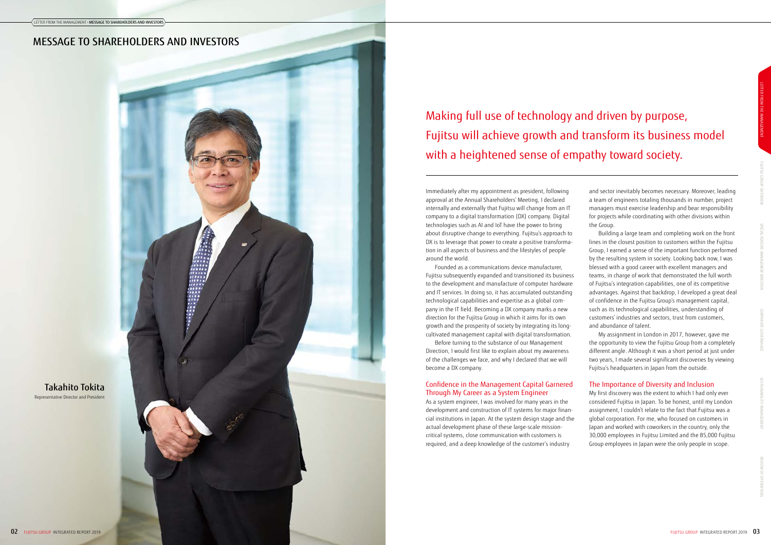and sector inevitably becomes necessary. Moreover, leading a team of engineers totaling thousands in number, project managers must exercise leadership and bear responsibility for projects while coordinating with other divisions within the Group.

Building a large team and completing work on the front lines in the closest position to customers within the Fujitsu Group, I earned a sense of the important function performed by the resulting system in society. Looking back now, I was blessed with a good career with excellent managers and teams, in charge of work that demonstrated the full worth of Fujitsu's integration capabilities, one of its competitive advantages. Against that backdrop, I developed a great deal of confidence in the Fujitsu Group's management capital, such as its technological capabilities, understanding of customers' industries and sectors, trust from customers, and abundance of talent.

My assignment in London in 2017, however, gave me the opportunity to view the Fujitsu Group from a completely different angle. Although it was a short period at just under two years, I made several significant discoveries by viewing Fujitsu's headquarters in Japan from the outside.

# The Importance of Diversity and Inclusion

My first discovery was the extent to which I had only ever considered Fujitsu in Japan. To be honest, until my London assignment, I couldn't relate to the fact that Fujitsu was a global corporation. For me, who focused on customers in Japan and worked with coworkers in the country, only the 30,000 employees in Fujitsu Limited and the 85,000 Fujitsu Group employees in Japan were the only people in scope.

Immediately after my appointment as president, following approval at the Annual Shareholders' Meeting, I declared internally and externally that Fujitsu will change from an IT company to a digital transformation (DX) company. Digital technologies such as AI and IoT have the power to bring about disruptive change to everything. Fujitsu's approach to DX is to leverage that power to create a positive transformation in all aspects of business and the lifestyles of people around the world.

Founded as a communications device manufacturer, Fujitsu subsequently expanded and transitioned its business to the development and manufacture of computer hardware and IT services. In doing so, it has accumulated outstanding technological capabilities and expertise as a global company in the IT field. Becoming a DX company marks a new direction for the Fujitsu Group in which it aims for its own growth and the prosperity of society by integrating its longcultivated management capital with digital transformation.

Before turning to the substance of our Management Direction, I would first like to explain about my awareness of the challenges we face, and why I declared that we will become a DX company.

# Confidence in the Management Capital Garnered Through My Career as a System Engineer

As a system engineer, I was involved for many years in the development and construction of IT systems for major financial institutions in Japan. At the system design stage and the actual development phase of these large-scale missioncritical systems, close communication with customers is required, and a deep knowledge of the customer's industry

# Making full use of technology and driven by purpose, Fujitsu will achieve growth and transform its business model with a heightened sense of empathy toward society.

Takahito Tokita Representative Director and President

# MESSAGE TO SHAREHOLDERS AND INVESTORS

F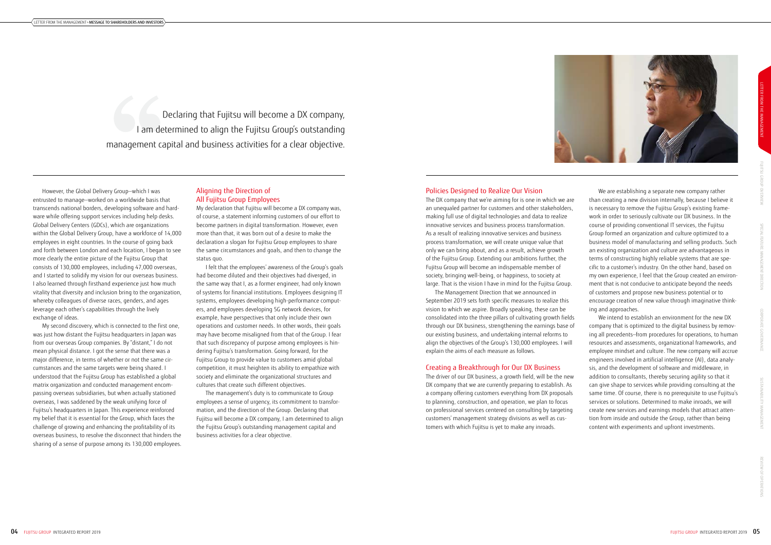## Aligning the Direction of All Fujitsu Group Employees

My declaration that Fujitsu will become a DX company was, of course, a statement informing customers of our effort to become partners in digital transformation. However, even more than that, it was born out of a desire to make the declaration a slogan for Fujitsu Group employees to share the same circumstances and goals, and then to change the status quo.

I felt that the employees' awareness of the Group's goals had become diluted and their objectives had diverged, in the same way that I, as a former engineer, had only known of systems for financial institutions. Employees designing IT systems, employees developing high-performance computers, and employees developing 5G network devices, for example, have perspectives that only include their own operations and customer needs. In other words, their goals may have become misaligned from that of the Group. I fear that such discrepancy of purpose among employees is hindering Fujitsu's transformation. Going forward, for the Fujitsu Group to provide value to customers amid global competition, it must heighten its ability to empathize with society and eliminate the organizational structures and cultures that create such different objectives.

The management's duty is to communicate to Group employees a sense of urgency, its commitment to transformation, and the direction of the Group. Declaring that Fujitsu will become a DX company, I am determined to align the Fujitsu Group's outstanding management capital and business activities for a clear objective.

We are establishing a separate new company rather than creating a new division internally, because I believe it is necessary to remove the Fujitsu Group's existing framework in order to seriously cultivate our DX business. In the course of providing conventional IT services, the Fujitsu Group formed an organization and culture optimized to a business model of manufacturing and selling products. Such an existing organization and culture are advantageous in terms of constructing highly reliable systems that are specific to a customer's industry. On the other hand, based on my own experience, I feel that the Group created an environment that is not conducive to anticipate beyond the needs of customers and propose new business potential or to encourage creation of new value through imaginative thinking and approaches.

We intend to establish an environment for the new DX company that is optimized to the digital business by removing all precedents—from procedures for operations, to human resources and assessments, organizational frameworks, and employee mindset and culture. The new company will accrue engineers involved in artificial intelligence (AI), data analysis, and the development of software and middleware, in addition to consultants, thereby securing agility so that it can give shape to services while providing consulting at the same time. Of course, there is no prerequisite to use Fujitsu's services or solutions. Determined to make inroads, we will create new services and earnings models that attract attention from inside and outside the Group, rather than being content with experiments and upfront investments.

However, the Global Delivery Group—which I was entrusted to manage—worked on a worldwide basis that transcends national borders, developing software and hardware while offering support services including help desks. Global Delivery Centers (GDCs), which are organizations within the Global Delivery Group, have a workforce of 14,000 employees in eight countries. In the course of going back and forth between London and each location, I began to see more clearly the entire picture of the Fujitsu Group that consists of 130,000 employees, including 47,000 overseas, and I started to solidify my vision for our overseas business. I also learned through firsthand experience just how much vitality that diversity and inclusion bring to the organization, whereby colleagues of diverse races, genders, and ages leverage each other's capabilities through the lively exchange of ideas.

My second discovery, which is connected to the first one, was just how distant the Fujitsu headquarters in Japan was from our overseas Group companies. By "distant," I do not mean physical distance. I got the sense that there was a major difference, in terms of whether or not the same circumstances and the same targets were being shared. I understood that the Fujitsu Group has established a global matrix organization and conducted management encompassing overseas subsidiaries, but when actually stationed overseas, I was saddened by the weak unifying force of Fujitsu's headquarters in Japan. This experience reinforced my belief that it is essential for the Group, which faces the challenge of growing and enhancing the profitability of its overseas business, to resolve the disconnect that hinders the sharing of a sense of purpose among its 130,000 employees.

# Policies Designed to Realize Our Vision

The DX company that we're aiming for is one in which we are an unequaled partner for customers and other stakeholders, making full use of digital technologies and data to realize innovative services and business process transformation. As a result of realizing innovative services and business process transformation, we will create unique value that only we can bring about, and as a result, achieve growth of the Fujitsu Group. Extending our ambitions further, the Fujitsu Group will become an indispensable member of society, bringing well-being, or happiness, to society at large. That is the vision I have in mind for the Fujitsu Group.

The Management Direction that we announced in September 2019 sets forth specific measures to realize this vision to which we aspire. Broadly speaking, these can be consolidated into the three pillars of cultivating growth fields through our DX business, strengthening the earnings base of our existing business, and undertaking internal reforms to align the objectives of the Group's 130,000 employees. I will explain the aims of each measure as follows.

#### Creating a Breakthrough for Our DX Business

The driver of our DX business, a growth field, will be the new DX company that we are currently preparing to establish. As a company offering customers everything from DX proposals to planning, construction, and operation, we plan to focus on professional services centered on consulting by targeting customers' management strategy divisions as well as customers with which Fujitsu is yet to make any inroads.

Declaring that Fujitsu will become a DX company, I am determined to align the Fujitsu Group's outstanding management capital and business activities for a clear objective.